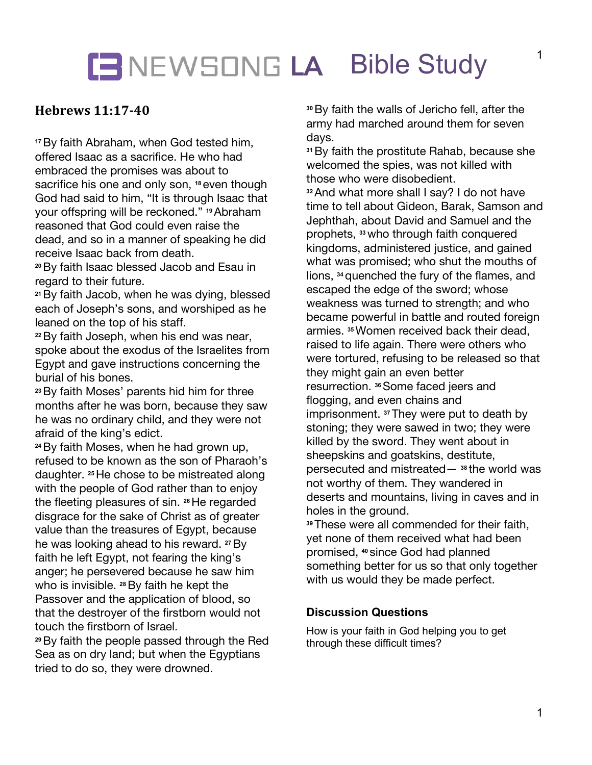## LEWSONG LA Bible Study

### **Hebrews 11:17-40**

**<sup>17</sup>**By faith Abraham, when God tested him, offered Isaac as a sacrifice. He who had embraced the promises was about to sacrifice his one and only son, **<sup>18</sup>** even though God had said to him, "It is through Isaac that your offspring will be reckoned." **<sup>19</sup>**Abraham reasoned that God could even raise the dead, and so in a manner of speaking he did receive Isaac back from death.

**<sup>20</sup>**By faith Isaac blessed Jacob and Esau in regard to their future.

**<sup>21</sup>**By faith Jacob, when he was dying, blessed each of Joseph's sons, and worshiped as he leaned on the top of his staff.

**<sup>22</sup>**By faith Joseph, when his end was near, spoke about the exodus of the Israelites from Egypt and gave instructions concerning the burial of his bones.

**<sup>23</sup>**By faith Moses' parents hid him for three months after he was born, because they saw he was no ordinary child, and they were not afraid of the king's edict.

**<sup>24</sup>**By faith Moses, when he had grown up, refused to be known as the son of Pharaoh's daughter. **<sup>25</sup>**He chose to be mistreated along with the people of God rather than to enjoy the fleeting pleasures of sin. **<sup>26</sup>**He regarded disgrace for the sake of Christ as of greater value than the treasures of Egypt, because he was looking ahead to his reward. **<sup>27</sup>**By faith he left Egypt, not fearing the king's anger; he persevered because he saw him who is invisible. **<sup>28</sup>**By faith he kept the Passover and the application of blood, so that the destroyer of the firstborn would not touch the firstborn of Israel.

**<sup>29</sup>**By faith the people passed through the Red Sea as on dry land; but when the Egyptians tried to do so, they were drowned.

**<sup>30</sup>**By faith the walls of Jericho fell, after the army had marched around them for seven days.

**<sup>31</sup>**By faith the prostitute Rahab, because she welcomed the spies, was not killed with those who were disobedient.

**<sup>32</sup>**And what more shall I say? I do not have time to tell about Gideon, Barak, Samson and Jephthah, about David and Samuel and the prophets, **<sup>33</sup>**who through faith conquered kingdoms, administered justice, and gained what was promised; who shut the mouths of lions, **<sup>34</sup>**quenched the fury of the flames, and escaped the edge of the sword; whose weakness was turned to strength; and who became powerful in battle and routed foreign armies. **<sup>35</sup>**Women received back their dead, raised to life again. There were others who were tortured, refusing to be released so that they might gain an even better resurrection. **<sup>36</sup>**Some faced jeers and flogging, and even chains and imprisonment. **<sup>37</sup>**They were put to death by stoning; they were sawed in two; they were killed by the sword. They went about in sheepskins and goatskins, destitute, persecuted and mistreated— **<sup>38</sup>** the world was not worthy of them. They wandered in deserts and mountains, living in caves and in holes in the ground.

**<sup>39</sup>**These were all commended for their faith, yet none of them received what had been promised, **<sup>40</sup>** since God had planned something better for us so that only together with us would they be made perfect.

#### **Discussion Questions**

How is your faith in God helping you to get through these difficult times?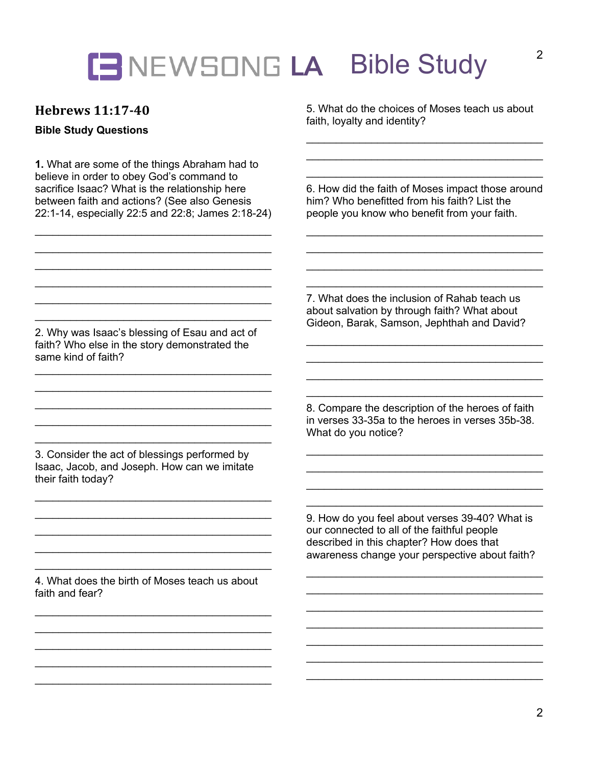# **LA** Bible Study

### **Hebrews 11:17-40**

#### **Bible Study Questions**

**1.** What are some of the things Abraham had to believe in order to obey God's command to sacrifice Isaac? What is the relationship here between faith and actions? (See also Genesis 22:1-14, especially 22:5 and 22:8; James 2:18-24)

\_\_\_\_\_\_\_\_\_\_\_\_\_\_\_\_\_\_\_\_\_\_\_\_\_\_\_\_\_\_\_\_\_\_\_\_\_\_\_\_

\_\_\_\_\_\_\_\_\_\_\_\_\_\_\_\_\_\_\_\_\_\_\_\_\_\_\_\_\_\_\_\_\_\_\_\_\_\_\_\_

\_\_\_\_\_\_\_\_\_\_\_\_\_\_\_\_\_\_\_\_\_\_\_\_\_\_\_\_\_\_\_\_\_\_\_\_\_\_\_\_

5. What do the choices of Moses teach us about faith, loyalty and identity?

6. How did the faith of Moses impact those around him? Who benefitted from his faith? List the people you know who benefit from your faith.

\_\_\_\_\_\_\_\_\_\_\_\_\_\_\_\_\_\_\_\_\_\_\_\_\_\_\_\_\_\_\_\_\_\_\_\_\_\_\_\_  $\overline{\phantom{a}}$  , which is a set of the set of the set of the set of the set of the set of the set of the set of the set of the set of the set of the set of the set of the set of the set of the set of the set of the set of th

 $\overline{\phantom{a}}$  , which is a set of the set of the set of the set of the set of the set of the set of the set of the set of the set of the set of the set of the set of the set of the set of the set of the set of the set of th

 $\overline{\phantom{a}}$  , which is a set of the set of the set of the set of the set of the set of the set of the set of the set of the set of the set of the set of the set of the set of the set of the set of the set of the set of th \_\_\_\_\_\_\_\_\_\_\_\_\_\_\_\_\_\_\_\_\_\_\_\_\_\_\_\_\_\_\_\_\_\_\_\_\_\_\_\_  $\overline{\phantom{a}}$  , which is a set of the set of the set of the set of the set of the set of the set of the set of the set of the set of the set of the set of the set of the set of the set of the set of the set of the set of th  $\overline{\phantom{a}}$  , which is a set of the set of the set of the set of the set of the set of the set of the set of the set of the set of the set of the set of the set of the set of the set of the set of the set of the set of th

 $\overline{\phantom{a}}$  , which is a set of the set of the set of the set of the set of the set of the set of the set of the set of the set of the set of the set of the set of the set of the set of the set of the set of the set of th

7. What does the inclusion of Rahab teach us about salvation by through faith? What about Gideon, Barak, Samson, Jephthah and David?

8. Compare the description of the heroes of faith in verses 33-35a to the heroes in verses 35b-38. What do you notice?

\_\_\_\_\_\_\_\_\_\_\_\_\_\_\_\_\_\_\_\_\_\_\_\_\_\_\_\_\_\_\_\_\_\_\_\_\_\_\_\_

 $\overline{\phantom{a}}$  , which is a set of the set of the set of the set of the set of the set of the set of the set of the set of the set of the set of the set of the set of the set of the set of the set of the set of the set of th

9. How do you feel about verses 39-40? What is our connected to all of the faithful people described in this chapter? How does that awareness change your perspective about faith?

\_\_\_\_\_\_\_\_\_\_\_\_\_\_\_\_\_\_\_\_\_\_\_\_\_\_\_\_\_\_\_\_\_\_\_\_\_\_\_\_  $\overline{\phantom{a}}$  , which is a set of the set of the set of the set of the set of the set of the set of the set of the set of the set of the set of the set of the set of the set of the set of the set of the set of the set of th

 $\overline{\phantom{a}}$  , which is a set of the set of the set of the set of the set of the set of the set of the set of the set of the set of the set of the set of the set of the set of the set of the set of the set of the set of th

 $\overline{\phantom{a}}$  , which is a set of the set of the set of the set of the set of the set of the set of the set of the set of the set of the set of the set of the set of the set of the set of the set of the set of the set of th

2. Why was Isaac's blessing of Esau and act of faith? Who else in the story demonstrated the same kind of faith? \_\_\_\_\_\_\_\_\_\_\_\_\_\_\_\_\_\_\_\_\_\_\_\_\_\_\_\_\_\_\_\_\_\_\_\_\_\_\_\_

\_\_\_\_\_\_\_\_\_\_\_\_\_\_\_\_\_\_\_\_\_\_\_\_\_\_\_\_\_\_\_\_\_\_\_\_\_\_\_\_  $\overline{\phantom{a}}$  , which is a set of the set of the set of the set of the set of the set of the set of the set of the set of the set of the set of the set of the set of the set of the set of the set of the set of the set of th \_\_\_\_\_\_\_\_\_\_\_\_\_\_\_\_\_\_\_\_\_\_\_\_\_\_\_\_\_\_\_\_\_\_\_\_\_\_\_\_  $\overline{\phantom{a}}$  , which is a set of the set of the set of the set of the set of the set of the set of the set of the set of the set of the set of the set of the set of the set of the set of the set of the set of the set of th

3. Consider the act of blessings performed by Isaac, Jacob, and Joseph. How can we imitate their faith today?

\_\_\_\_\_\_\_\_\_\_\_\_\_\_\_\_\_\_\_\_\_\_\_\_\_\_\_\_\_\_\_\_\_\_\_\_\_\_\_\_  $\overline{\phantom{a}}$  , which is a set of the set of the set of the set of the set of the set of the set of the set of the set of the set of the set of the set of the set of the set of the set of the set of the set of the set of th \_\_\_\_\_\_\_\_\_\_\_\_\_\_\_\_\_\_\_\_\_\_\_\_\_\_\_\_\_\_\_\_\_\_\_\_\_\_\_\_  $\mathcal{L}=\{1,2,3,4,5\}$ 

4. What does the birth of Moses teach us about faith and fear?

\_\_\_\_\_\_\_\_\_\_\_\_\_\_\_\_\_\_\_\_\_\_\_\_\_\_\_\_\_\_\_\_\_\_\_\_\_\_\_\_ \_\_\_\_\_\_\_\_\_\_\_\_\_\_\_\_\_\_\_\_\_\_\_\_\_\_\_\_\_\_\_\_\_\_\_\_\_\_\_\_ \_\_\_\_\_\_\_\_\_\_\_\_\_\_\_\_\_\_\_\_\_\_\_\_\_\_\_\_\_\_\_\_\_\_\_\_\_\_\_\_  $\overline{\phantom{a}}$  , which is a set of the set of the set of the set of the set of the set of the set of the set of the set of the set of the set of the set of the set of the set of the set of the set of the set of the set of th